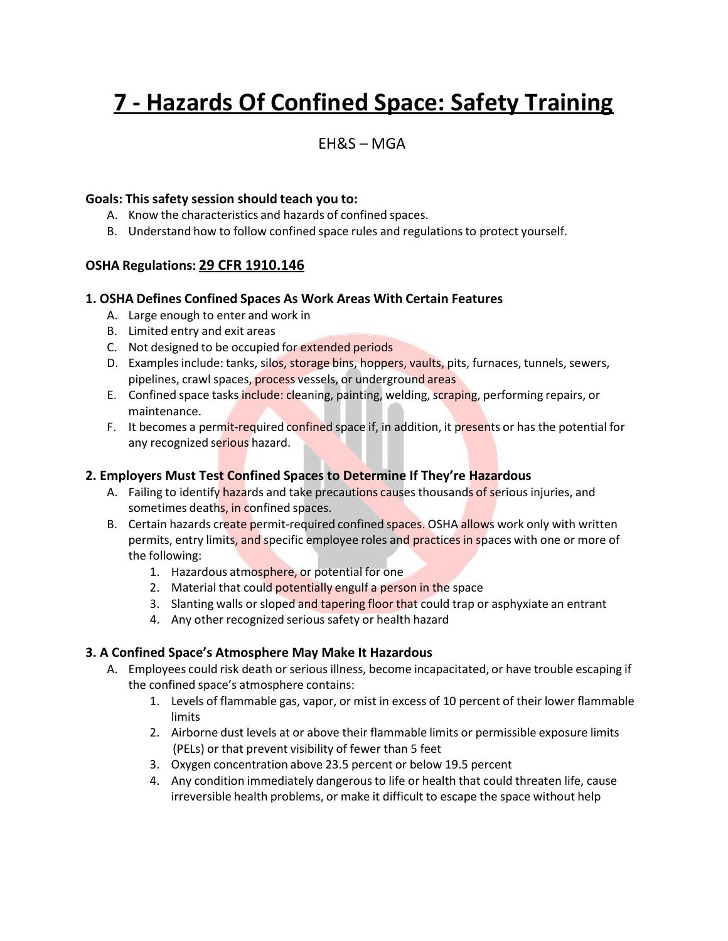# **7 - Hazards Of Confined Space: Safety Training**

### EH&S – MGA

#### **Goals: This safety session should teach you to:**

- A. Know the characteristics and hazards of confined spaces.
- B. Understand how to follow confined space rules and regulationsto protect yourself.

#### **OSHA Regulations: 29 CFR 1910.146**

#### **1. OSHA Defines Confined Spaces As Work Areas With Certain Features**

- A. Large enough to enter and work in
- B. Limited entry and exit areas
- C. Not designed to be occupied for extended periods
- D. Examples include: tanks, silos, storage bins, hoppers, vaults, pits, furnaces, tunnels, sewers, pipelines, crawl spaces, process vessels, or underground areas
- E. Confined space tasks include: cleaning, painting, welding, scraping, performing repairs, or maintenance.
- F. It becomes a permit-required confined space if, in addition, it presents or has the potential for any recognized serious hazard.

#### **2. Employers Must Test Confined Spaces to Determine If They're Hazardous**

- A. Failing to identify hazards and take precautions causes thousands of serious injuries, and sometimes deaths, in confined spaces.
- B. Certain hazards create permit-required confined spaces. OSHA allows work only with written permits, entry limits, and specific employee roles and practices in spaces with one or more of the following:
	- 1. Hazardous atmosphere, or potential for one
	- 2. Material that could potentially engulf a person in the space
	- 3. Slanting walls or sloped and tapering floor that could trap or asphyxiate an entrant
	- 4. Any other recognized serious safety or health hazard

#### **3. A Confined Space's Atmosphere May Make It Hazardous**

- A. Employees could risk death or serious illness, become incapacitated, or have trouble escaping if the confined space's atmosphere contains:
	- 1. Levels of flammable gas, vapor, or mist in excess of 10 percent of their lower flammable limits
	- 2. Airborne dust levels at or above their flammable limits or permissible exposure limits (PELs) or that prevent visibility of fewer than 5 feet
	- 3. Oxygen concentration above 23.5 percent or below 19.5 percent
	- 4. Any condition immediately dangerousto life or health that could threaten life, cause irreversible health problems, or make it difficult to escape the space without help